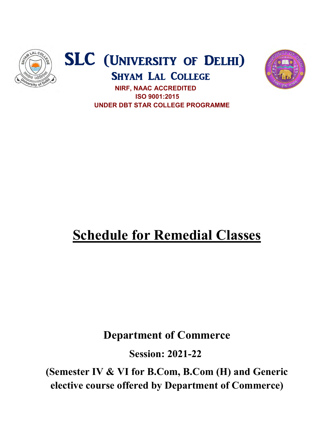





 UNDER DBT STAR COLLEGE PROGRAMME UNDER UNDER DBT STAR COLLEGE PROGRAMME NIRF, NAAC ACCREDITED ISO 9001:2015

## **Schedule for Remedial Classes**

## Department of Commerce Department of Commerce

Session: 2021-22

(Semester IV & VI for B.Com, B.Com (H) and Generic elective course offered by Department of Commerce)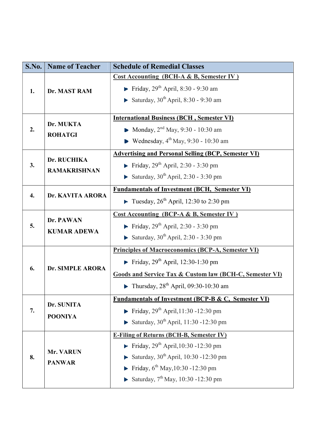| S.No. | <b>Name of Teacher</b>             | <b>Schedule of Remedial Classes</b>                                                                                                                                                                                                             |
|-------|------------------------------------|-------------------------------------------------------------------------------------------------------------------------------------------------------------------------------------------------------------------------------------------------|
| 1.    | Dr. MAST RAM                       | <b>Cost Accounting (BCH-A &amp; B, Semester IV)</b><br><b>Finday</b> , $29^{th}$ April, 8:30 - 9:30 am<br>Saturday, $30^{\text{th}}$ April, 8:30 - 9:30 am                                                                                      |
| 2.    | Dr. MUKTA<br><b>ROHATGI</b>        | <b>International Business (BCH, Semester VI)</b><br>• Monday, $2^{nd}$ May, 9:30 - 10:30 am<br>$\blacktriangleright$ Wednesday, 4 <sup>th</sup> May, 9:30 - 10:30 am                                                                            |
| 3.    | Dr. RUCHIKA<br><b>RAMAKRISHNAN</b> | <b>Advertising and Personal Selling (BCP, Semester VI)</b><br>Friday, $29^{th}$ April, 2:30 - 3:30 pm<br>Saturday, $30^{\text{th}}$ April, 2:30 - 3:30 pm                                                                                       |
| 4.    | Dr. KAVITA ARORA                   | <b>Fundamentals of Investment (BCH, Semester VI)</b><br><b>Tuesday, 26<sup>th</sup></b> April, 12:30 to 2:30 pm                                                                                                                                 |
| 5.    | Dr. PAWAN<br><b>KUMAR ADEWA</b>    | <b>Cost Accounting (BCP-A &amp; B, Semester IV)</b><br><b>Finday, 29th April, 2:30 - 3:30 pm</b><br>Saturday, $30^{\text{th}}$ April, 2:30 - 3:30 pm                                                                                            |
| 6.    | Dr. SIMPLE ARORA                   | <b>Principles of Macroeconomics (BCP-A, Semester VI)</b><br>Friday, $29th$ April, 12:30-1:30 pm<br><b>Goods and Service Tax &amp; Custom law (BCH-C, Semester VI)</b><br>$\blacktriangleright$ Thursday, 28 <sup>th</sup> April, 09:30-10:30 am |
| 7.    | Dr. SUNITA<br><b>POONIYA</b>       | <b>Fundamentals of Investment (BCP-B &amp; C, Semester VI)</b><br>Friday, $29^{th}$ April, 11:30 -12:30 pm<br>Saturday, $30^{th}$ April, 11:30 -12:30 pm                                                                                        |
| 8.    | Mr. VARUN<br><b>PANWAR</b>         | <b>E-Filing of Returns (BCH-B, Semester IV)</b><br>Friday, $29^{th}$ April, 10:30 - 12:30 pm<br>Saturday, $30^{th}$ April, 10:30 -12:30 pm<br>Friday, $6^{th}$ May, 10:30 -12:30 pm<br>Saturday, $7^{th}$ May, 10:30 -12:30 pm                  |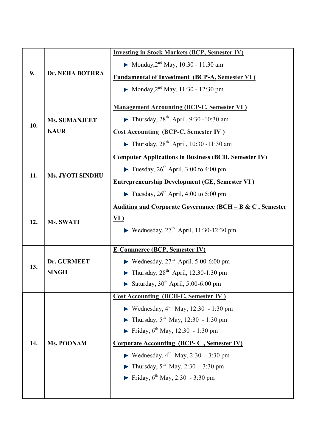| 9.  | Dr. NEHA BOTHRA                     | <b>Investing in Stock Markets (BCP, Semester IV)</b>                    |
|-----|-------------------------------------|-------------------------------------------------------------------------|
|     |                                     | • Monday, $2^{nd}$ May, 10:30 - 11:30 am                                |
|     |                                     | <b>Fundamental of Investment (BCP-A, Semester VI)</b>                   |
|     |                                     | • Monday, $2^{nd}$ May, 11:30 - 12:30 pm                                |
| 10. | <b>Ms. SUMANJEET</b><br><b>KAUR</b> | <b>Management Accounting (BCP-C, Semester VI)</b>                       |
|     |                                     | Thursday, $28^{th}$ April, 9:30 -10:30 am                               |
|     |                                     | <b>Cost Accounting (BCP-C, Semester IV)</b>                             |
|     |                                     | $\blacktriangleright$ Thursday, 28 <sup>th</sup> April, 10:30 -11:30 am |
|     | <b>Ms. JYOTI SINDHU</b>             | <b>Computer Applications in Business (BCH, Semester IV)</b>             |
|     |                                     | Tuesday, $26^{th}$ April, 3:00 to 4:00 pm                               |
| 11. |                                     | <b>Entrepreneurship Development (GE, Semester VI)</b>                   |
|     |                                     | Tuesday, $26^{th}$ April, 4:00 to 5:00 pm                               |
| 12. | Ms. SWATI                           | Auditing and Corporate Governance (BCH - B & C, Semester                |
|     |                                     | <u>VI)</u>                                                              |
|     |                                     | Wednesday, $27th$ April, 11:30-12:30 pm                                 |
|     |                                     | <b>E-Commerce (BCP, Semester IV)</b>                                    |
| 13. | Dr. GURMEET                         | ► Wednesday, $27th$ April, 5:00-6:00 pm                                 |
|     | <b>SINGH</b>                        | $\blacktriangleright$ Thursday, 28 <sup>th</sup> April, 12.30-1.30 pm   |
|     |                                     | Saturday, $30^{th}$ April, 5:00-6:00 pm                                 |
| 14. | Ms. POONAM                          | <b>Cost Accounting (BCH-C, Semester IV)</b>                             |
|     |                                     | • Wednesday, $4^{th}$ May, 12:30 - 1:30 pm                              |
|     |                                     | • Thursday, $5^{th}$ May, 12:30 - 1:30 pm                               |
|     |                                     | Friday, $6^{th}$ May, 12:30 - 1:30 pm                                   |
|     |                                     | <b>Corporate Accounting (BCP-C, Semester IV)</b>                        |
|     |                                     | <b>•</b> Wednesday, $4^{\text{th}}$ May, 2:30 - 3:30 pm                 |
|     |                                     | • Thursday, $5^{\text{th}}$ May, 2:30 - 3:30 pm                         |
|     |                                     | Friday, $6^{th}$ May, 2:30 - 3:30 pm                                    |
|     |                                     |                                                                         |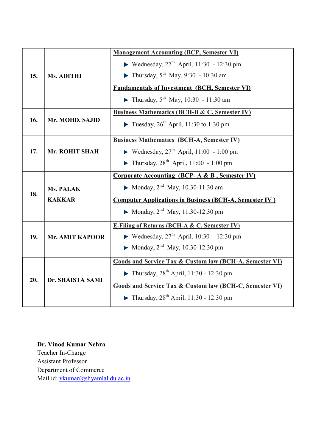| <b>Ms. ADITHI</b>                 | <b>Management Accounting (BCP, Semester VI)</b>                    |
|-----------------------------------|--------------------------------------------------------------------|
|                                   | <b>•</b> Wednesday, $27^{\text{th}}$ April, 11:30 - 12:30 pm       |
|                                   | • Thursday, $5^{th}$ May, 9:30 - 10:30 am                          |
|                                   | <b>Fundamentals of Investment (BCH, Semester VI)</b>               |
|                                   | • Thursday, $5^{th}$ May, 10:30 - 11:30 am                         |
| Mr. MOHD. SAJID                   | <b>Business Mathematics (BCH-B &amp; C, Semester IV)</b>           |
|                                   | Tuesday, $26^{th}$ April, 11:30 to 1:30 pm                         |
| Mr. ROHIT SHAH                    | <b>Business Mathematics (BCH-A, Semester IV)</b>                   |
|                                   | Wednesday, $27th$ April, 11:00 - 1:00 pm                           |
|                                   | • Thursday, $28^{th}$ April, 11:00 - 1:00 pm                       |
| <b>Ms. PALAK</b><br><b>KAKKAR</b> | <b>Corporate Accounting (BCP-A &amp; B, Semester IV)</b>           |
|                                   | • Monday, $2^{nd}$ May, 10.30-11.30 am                             |
|                                   | <b>Computer Applications in Business (BCH-A, Semester IV)</b>      |
|                                   | • Monday, $2^{nd}$ May, 11.30-12.30 pm                             |
| <b>Mr. AMIT KAPOOR</b>            | <b>E-Filing of Returns (BCH-A &amp; C, Semester IV)</b>            |
|                                   | Wednesday, $27th$ April, 10:30 - 12:30 pm                          |
|                                   | • Monday, $2^{nd}$ May, 10.30-12.30 pm                             |
| Dr. SHAISTA SAMI                  | <b>Goods and Service Tax &amp; Custom law (BCH-A, Semester VI)</b> |
|                                   | • Thursday, $28^{th}$ April, 11:30 - 12:30 pm                      |
|                                   | <b>Goods and Service Tax &amp; Custom law (BCH-C, Semester VI)</b> |
|                                   | • Thursday, $28^{th}$ April, 11:30 - 12:30 pm                      |
|                                   |                                                                    |

Dr. Vinod Kumar Nehra Teacher In-Charge Assistant Professor Department of Commerce Mail id: vkumar@shyamlal.du.ac.in